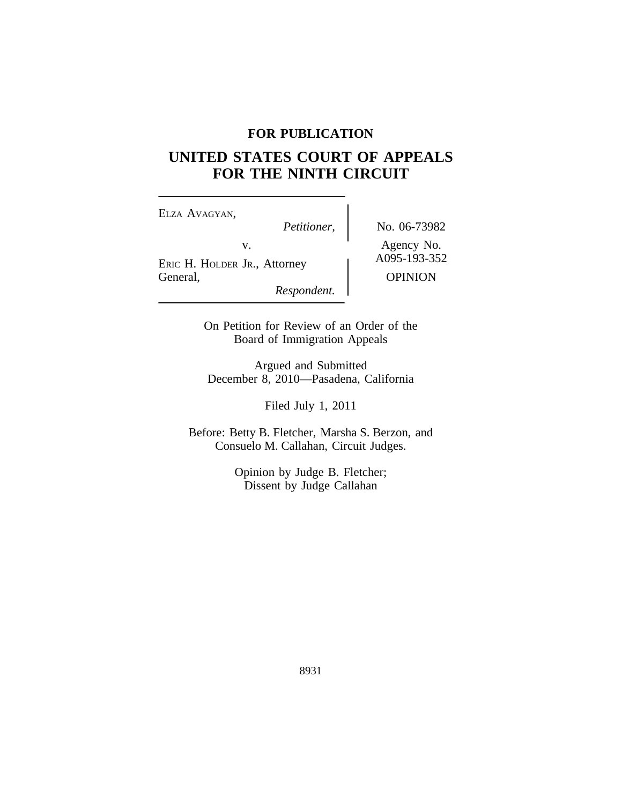# **FOR PUBLICATION**

# **UNITED STATES COURT OF APPEALS FOR THE NINTH CIRCUIT**

ELZA AVAGYAN,<br>Petitioner, v.<br>
ERIC H. HOLDER JR., Attorney A095-193-352 General, OPINION *Respondent.*

*Petitioner,* No. 06-73982

On Petition for Review of an Order of the Board of Immigration Appeals

Argued and Submitted December 8, 2010—Pasadena, California

Filed July 1, 2011

Before: Betty B. Fletcher, Marsha S. Berzon, and Consuelo M. Callahan, Circuit Judges.

> Opinion by Judge B. Fletcher; Dissent by Judge Callahan

> > 8931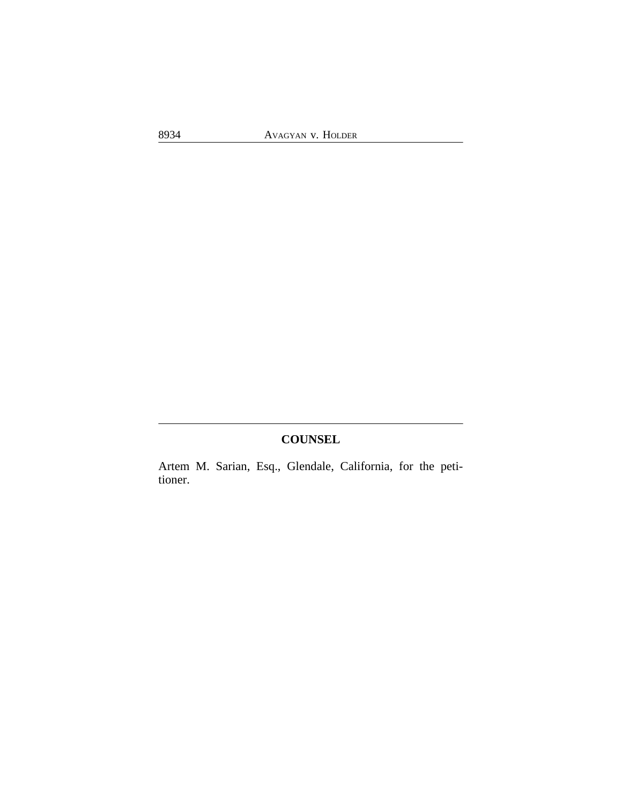# **COUNSEL**

Artem M. Sarian, Esq., Glendale, California, for the petitioner.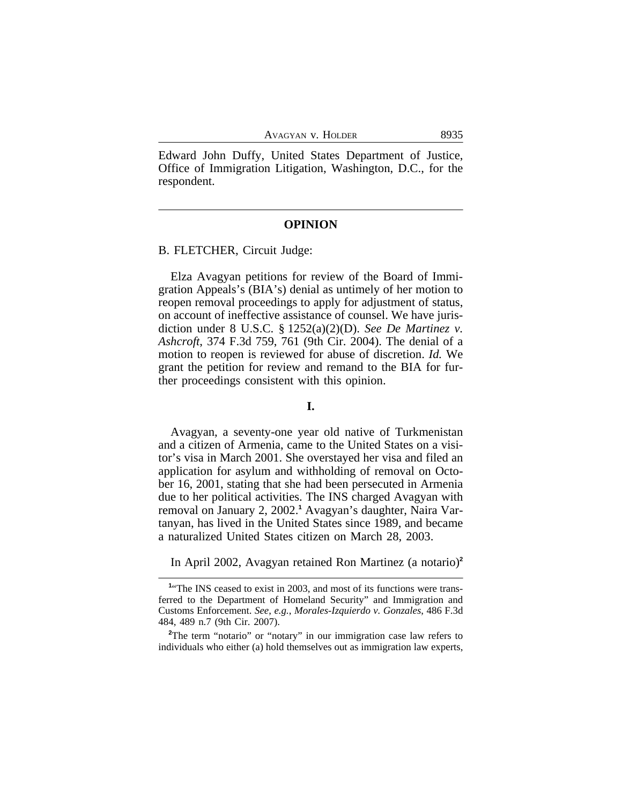Edward John Duffy, United States Department of Justice, Office of Immigration Litigation, Washington, D.C., for the respondent.

### **OPINION**

### B. FLETCHER, Circuit Judge:

Elza Avagyan petitions for review of the Board of Immigration Appeals's (BIA's) denial as untimely of her motion to reopen removal proceedings to apply for adjustment of status, on account of ineffective assistance of counsel. We have jurisdiction under 8 U.S.C. § 1252(a)(2)(D). *See De Martinez v. Ashcroft*, 374 F.3d 759, 761 (9th Cir. 2004). The denial of a motion to reopen is reviewed for abuse of discretion. *Id.* We grant the petition for review and remand to the BIA for further proceedings consistent with this opinion.

### **I.**

Avagyan, a seventy-one year old native of Turkmenistan and a citizen of Armenia, came to the United States on a visitor's visa in March 2001. She overstayed her visa and filed an application for asylum and withholding of removal on October 16, 2001, stating that she had been persecuted in Armenia due to her political activities. The INS charged Avagyan with removal on January 2, 2002.**<sup>1</sup>** Avagyan's daughter, Naira Vartanyan, has lived in the United States since 1989, and became a naturalized United States citizen on March 28, 2003.

In April 2002, Avagyan retained Ron Martinez (a notario)**<sup>2</sup>**

<sup>&</sup>lt;sup>1</sup><sup>t</sup>The INS ceased to exist in 2003, and most of its functions were transferred to the Department of Homeland Security" and Immigration and Customs Enforcement. *See*, *e.g.*, *Morales-Izquierdo v. Gonzales*, 486 F.3d 484, 489 n.7 (9th Cir. 2007).

<sup>&</sup>lt;sup>2</sup>The term "notario" or "notary" in our immigration case law refers to individuals who either (a) hold themselves out as immigration law experts,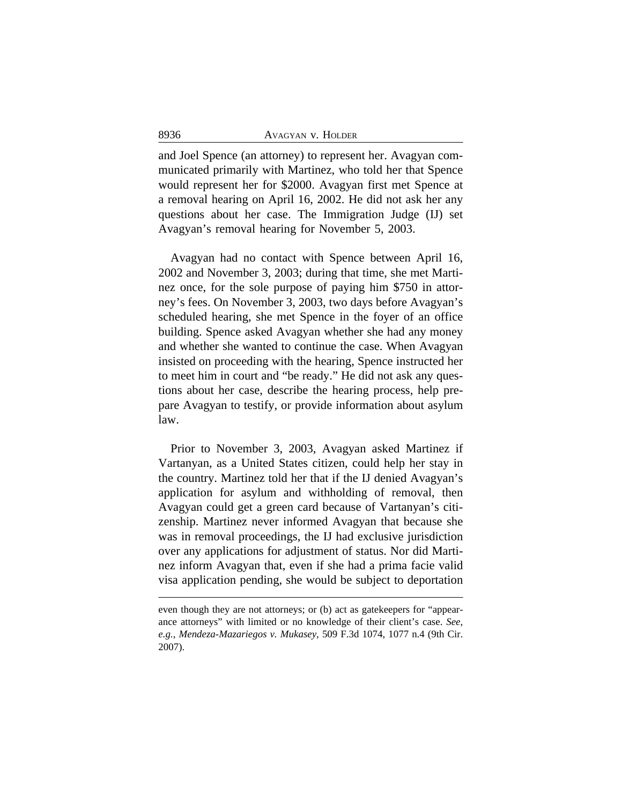| 8936 | AVAGYAN V. HOLDER |
|------|-------------------|
|      |                   |

and Joel Spence (an attorney) to represent her. Avagyan communicated primarily with Martinez, who told her that Spence would represent her for \$2000. Avagyan first met Spence at a removal hearing on April 16, 2002. He did not ask her any questions about her case. The Immigration Judge (IJ) set Avagyan's removal hearing for November 5, 2003.

Avagyan had no contact with Spence between April 16, 2002 and November 3, 2003; during that time, she met Martinez once, for the sole purpose of paying him \$750 in attorney's fees. On November 3, 2003, two days before Avagyan's scheduled hearing, she met Spence in the foyer of an office building. Spence asked Avagyan whether she had any money and whether she wanted to continue the case. When Avagyan insisted on proceeding with the hearing, Spence instructed her to meet him in court and "be ready." He did not ask any questions about her case, describe the hearing process, help prepare Avagyan to testify, or provide information about asylum law.

Prior to November 3, 2003, Avagyan asked Martinez if Vartanyan, as a United States citizen, could help her stay in the country. Martinez told her that if the IJ denied Avagyan's application for asylum and withholding of removal, then Avagyan could get a green card because of Vartanyan's citizenship. Martinez never informed Avagyan that because she was in removal proceedings, the IJ had exclusive jurisdiction over any applications for adjustment of status. Nor did Martinez inform Avagyan that, even if she had a prima facie valid visa application pending, she would be subject to deportation

even though they are not attorneys; or (b) act as gatekeepers for "appearance attorneys" with limited or no knowledge of their client's case. *See*, *e.g.*, *Mendeza-Mazariegos v. Mukasey*, 509 F.3d 1074, 1077 n.4 (9th Cir. 2007).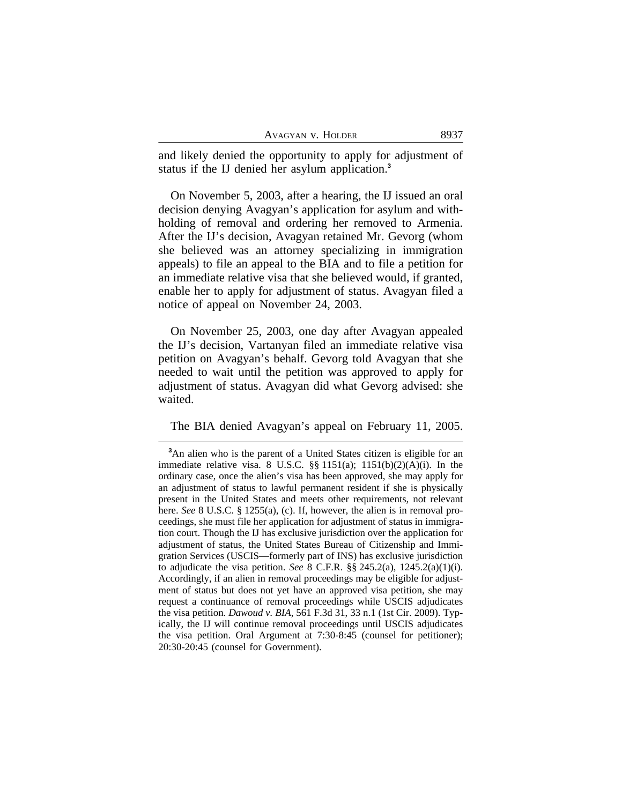| Avagyan v. Holder |  | 8937 |
|-------------------|--|------|
|                   |  |      |

and likely denied the opportunity to apply for adjustment of status if the IJ denied her asylum application.**<sup>3</sup>**

On November 5, 2003, after a hearing, the IJ issued an oral decision denying Avagyan's application for asylum and withholding of removal and ordering her removed to Armenia. After the IJ's decision, Avagyan retained Mr. Gevorg (whom she believed was an attorney specializing in immigration appeals) to file an appeal to the BIA and to file a petition for an immediate relative visa that she believed would, if granted, enable her to apply for adjustment of status. Avagyan filed a notice of appeal on November 24, 2003.

On November 25, 2003, one day after Avagyan appealed the IJ's decision, Vartanyan filed an immediate relative visa petition on Avagyan's behalf. Gevorg told Avagyan that she needed to wait until the petition was approved to apply for adjustment of status. Avagyan did what Gevorg advised: she waited.

The BIA denied Avagyan's appeal on February 11, 2005.

**<sup>3</sup>**An alien who is the parent of a United States citizen is eligible for an immediate relative visa. 8 U.S.C.  $\S$ § 1151(a); 1151(b)(2)(A)(i). In the ordinary case, once the alien's visa has been approved, she may apply for an adjustment of status to lawful permanent resident if she is physically present in the United States and meets other requirements, not relevant here. *See* 8 U.S.C. § 1255(a), (c). If, however, the alien is in removal proceedings, she must file her application for adjustment of status in immigration court. Though the IJ has exclusive jurisdiction over the application for adjustment of status, the United States Bureau of Citizenship and Immigration Services (USCIS—formerly part of INS) has exclusive jurisdiction to adjudicate the visa petition. *See* 8 C.F.R. §§ 245.2(a), 1245.2(a)(1)(i). Accordingly, if an alien in removal proceedings may be eligible for adjustment of status but does not yet have an approved visa petition, she may request a continuance of removal proceedings while USCIS adjudicates the visa petition. *Dawoud v. BIA*, 561 F.3d 31, 33 n.1 (1st Cir. 2009). Typically, the IJ will continue removal proceedings until USCIS adjudicates the visa petition. Oral Argument at 7:30-8:45 (counsel for petitioner); 20:30-20:45 (counsel for Government).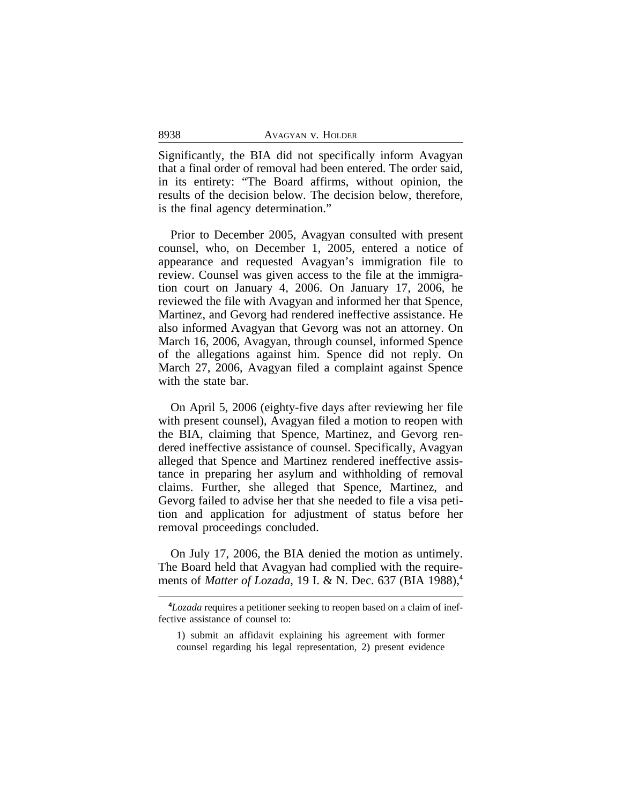| 8938 | AVAGYAN V. HOLDER |
|------|-------------------|
|      |                   |

Significantly, the BIA did not specifically inform Avagyan that a final order of removal had been entered. The order said, in its entirety: "The Board affirms, without opinion, the results of the decision below. The decision below, therefore, is the final agency determination."

Prior to December 2005, Avagyan consulted with present counsel, who, on December 1, 2005, entered a notice of appearance and requested Avagyan's immigration file to review. Counsel was given access to the file at the immigration court on January 4, 2006. On January 17, 2006, he reviewed the file with Avagyan and informed her that Spence, Martinez, and Gevorg had rendered ineffective assistance. He also informed Avagyan that Gevorg was not an attorney. On March 16, 2006, Avagyan, through counsel, informed Spence of the allegations against him. Spence did not reply. On March 27, 2006, Avagyan filed a complaint against Spence with the state bar.

On April 5, 2006 (eighty-five days after reviewing her file with present counsel), Avagyan filed a motion to reopen with the BIA, claiming that Spence, Martinez, and Gevorg rendered ineffective assistance of counsel. Specifically, Avagyan alleged that Spence and Martinez rendered ineffective assistance in preparing her asylum and withholding of removal claims. Further, she alleged that Spence, Martinez, and Gevorg failed to advise her that she needed to file a visa petition and application for adjustment of status before her removal proceedings concluded.

On July 17, 2006, the BIA denied the motion as untimely. The Board held that Avagyan had complied with the requirements of *Matter of Lozada*, 19 I. & N. Dec. 637 (BIA 1988),**<sup>4</sup>**

**<sup>4</sup>***Lozada* requires a petitioner seeking to reopen based on a claim of ineffective assistance of counsel to:

<sup>1)</sup> submit an affidavit explaining his agreement with former counsel regarding his legal representation, 2) present evidence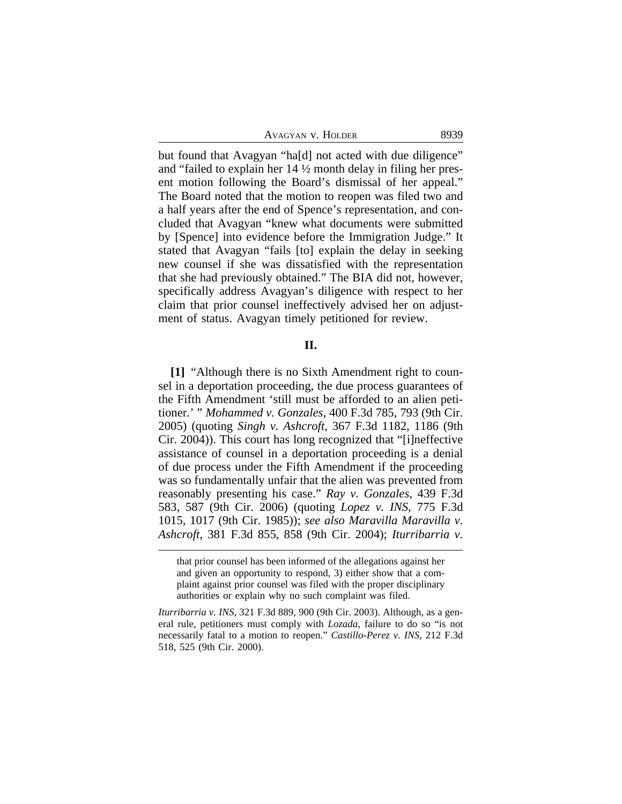| Avagyan v. Holder | 8939 |
|-------------------|------|
|-------------------|------|

but found that Avagyan "ha[d] not acted with due diligence" and "failed to explain her 14 ½ month delay in filing her present motion following the Board's dismissal of her appeal." The Board noted that the motion to reopen was filed two and a half years after the end of Spence's representation, and concluded that Avagyan "knew what documents were submitted by [Spence] into evidence before the Immigration Judge." It stated that Avagyan "fails [to] explain the delay in seeking new counsel if she was dissatisfied with the representation that she had previously obtained." The BIA did not, however, specifically address Avagyan's diligence with respect to her claim that prior counsel ineffectively advised her on adjustment of status. Avagyan timely petitioned for review.

### **II.**

**[1]** "Although there is no Sixth Amendment right to counsel in a deportation proceeding, the due process guarantees of the Fifth Amendment 'still must be afforded to an alien petitioner.' " *Mohammed v. Gonzales*, 400 F.3d 785, 793 (9th Cir. 2005) (quoting *Singh v. Ashcroft*, 367 F.3d 1182, 1186 (9th Cir. 2004)). This court has long recognized that "[i]neffective assistance of counsel in a deportation proceeding is a denial of due process under the Fifth Amendment if the proceeding was so fundamentally unfair that the alien was prevented from reasonably presenting his case." *Ray v. Gonzales*, 439 F.3d 583, 587 (9th Cir. 2006) (quoting *Lopez v. INS*, 775 F.3d 1015, 1017 (9th Cir. 1985)); *see also Maravilla Maravilla v. Ashcroft*, 381 F.3d 855, 858 (9th Cir. 2004); *Iturribarria v.*

that prior counsel has been informed of the allegations against her and given an opportunity to respond, 3) either show that a complaint against prior counsel was filed with the proper disciplinary authorities or explain why no such complaint was filed.

*Iturribarria v. INS*, 321 F.3d 889, 900 (9th Cir. 2003). Although, as a general rule, petitioners must comply with *Lozada*, failure to do so "is not necessarily fatal to a motion to reopen." *Castillo-Perez v. INS*, 212 F.3d 518, 525 (9th Cir. 2000).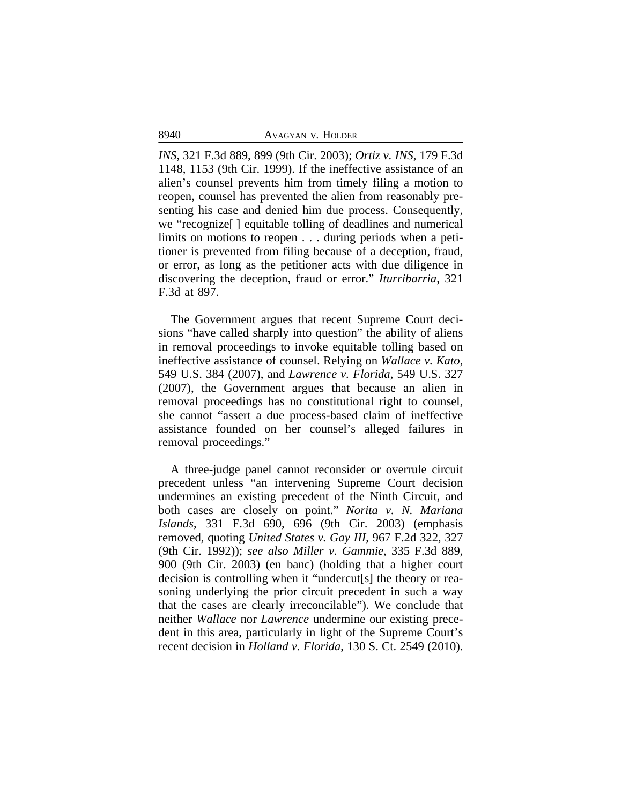*INS*, 321 F.3d 889, 899 (9th Cir. 2003); *Ortiz v. INS*, 179 F.3d 1148, 1153 (9th Cir. 1999). If the ineffective assistance of an alien's counsel prevents him from timely filing a motion to reopen, counsel has prevented the alien from reasonably presenting his case and denied him due process. Consequently, we "recognize[ ] equitable tolling of deadlines and numerical limits on motions to reopen . . . during periods when a petitioner is prevented from filing because of a deception, fraud, or error, as long as the petitioner acts with due diligence in discovering the deception, fraud or error." *Iturribarria*, 321 F.3d at 897.

The Government argues that recent Supreme Court decisions "have called sharply into question" the ability of aliens in removal proceedings to invoke equitable tolling based on ineffective assistance of counsel. Relying on *Wallace v. Kato*, 549 U.S. 384 (2007), and *Lawrence v. Florida*, 549 U.S. 327 (2007), the Government argues that because an alien in removal proceedings has no constitutional right to counsel, she cannot "assert a due process-based claim of ineffective assistance founded on her counsel's alleged failures in removal proceedings."

A three-judge panel cannot reconsider or overrule circuit precedent unless "an intervening Supreme Court decision undermines an existing precedent of the Ninth Circuit, and both cases are closely on point." *Norita v. N. Mariana Islands*, 331 F.3d 690, 696 (9th Cir. 2003) (emphasis removed, quoting *United States v. Gay III*, 967 F.2d 322, 327 (9th Cir. 1992)); *see also Miller v. Gammie*, 335 F.3d 889, 900 (9th Cir. 2003) (en banc) (holding that a higher court decision is controlling when it "undercut[s] the theory or reasoning underlying the prior circuit precedent in such a way that the cases are clearly irreconcilable"). We conclude that neither *Wallace* nor *Lawrence* undermine our existing precedent in this area, particularly in light of the Supreme Court's recent decision in *Holland v. Florida*, 130 S. Ct. 2549 (2010).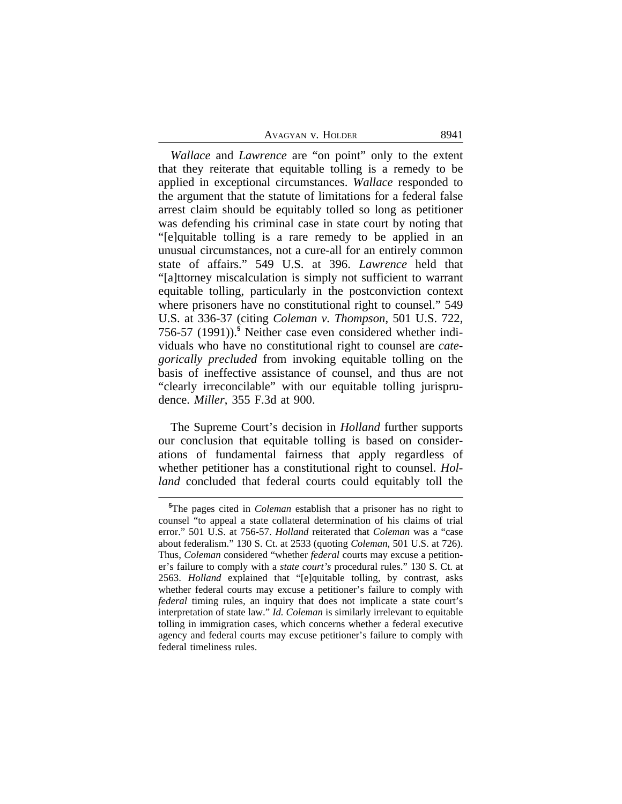| Avagyan v. Holder | 8941 |
|-------------------|------|
|-------------------|------|

*Wallace* and *Lawrence* are "on point" only to the extent that they reiterate that equitable tolling is a remedy to be applied in exceptional circumstances. *Wallace* responded to the argument that the statute of limitations for a federal false arrest claim should be equitably tolled so long as petitioner was defending his criminal case in state court by noting that "[e]quitable tolling is a rare remedy to be applied in an unusual circumstances, not a cure-all for an entirely common state of affairs." 549 U.S. at 396. *Lawrence* held that "[a]ttorney miscalculation is simply not sufficient to warrant equitable tolling, particularly in the postconviction context where prisoners have no constitutional right to counsel." 549 U.S. at 336-37 (citing *Coleman v. Thompson*, 501 U.S. 722, 756-57 (1991)).**<sup>5</sup>** Neither case even considered whether individuals who have no constitutional right to counsel are *categorically precluded* from invoking equitable tolling on the basis of ineffective assistance of counsel, and thus are not "clearly irreconcilable" with our equitable tolling jurisprudence. *Miller*, 355 F.3d at 900.

The Supreme Court's decision in *Holland* further supports our conclusion that equitable tolling is based on considerations of fundamental fairness that apply regardless of whether petitioner has a constitutional right to counsel. *Holland* concluded that federal courts could equitably toll the

**<sup>5</sup>**The pages cited in *Coleman* establish that a prisoner has no right to counsel "to appeal a state collateral determination of his claims of trial error." 501 U.S. at 756-57. *Holland* reiterated that *Coleman* was a "case about federalism." 130 S. Ct. at 2533 (quoting *Coleman*, 501 U.S. at 726). Thus, *Coleman* considered "whether *federal* courts may excuse a petitioner's failure to comply with a *state court's* procedural rules." 130 S. Ct. at 2563. *Holland* explained that "[e]quitable tolling, by contrast, asks whether federal courts may excuse a petitioner's failure to comply with *federal* timing rules, an inquiry that does not implicate a state court's interpretation of state law." *Id. Coleman* is similarly irrelevant to equitable tolling in immigration cases, which concerns whether a federal executive agency and federal courts may excuse petitioner's failure to comply with federal timeliness rules.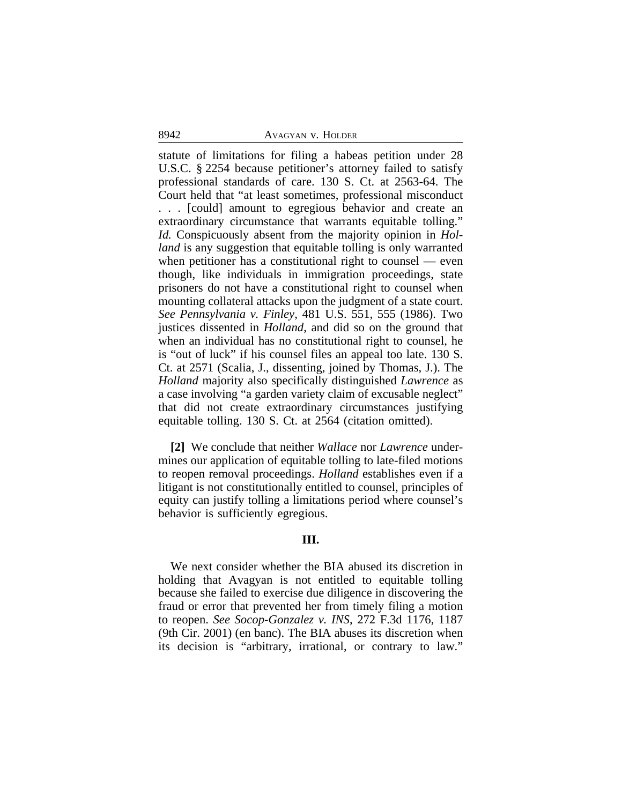statute of limitations for filing a habeas petition under 28 U.S.C. § 2254 because petitioner's attorney failed to satisfy professional standards of care. 130 S. Ct. at 2563-64. The Court held that "at least sometimes, professional misconduct . . . [could] amount to egregious behavior and create an extraordinary circumstance that warrants equitable tolling." *Id.* Conspicuously absent from the majority opinion in *Holland* is any suggestion that equitable tolling is only warranted when petitioner has a constitutional right to counsel — even though, like individuals in immigration proceedings, state prisoners do not have a constitutional right to counsel when mounting collateral attacks upon the judgment of a state court. *See Pennsylvania v. Finley*, 481 U.S. 551, 555 (1986). Two justices dissented in *Holland*, and did so on the ground that when an individual has no constitutional right to counsel, he is "out of luck" if his counsel files an appeal too late. 130 S. Ct. at 2571 (Scalia, J., dissenting, joined by Thomas, J.). The *Holland* majority also specifically distinguished *Lawrence* as a case involving "a garden variety claim of excusable neglect" that did not create extraordinary circumstances justifying equitable tolling. 130 S. Ct. at 2564 (citation omitted).

**[2]** We conclude that neither *Wallace* nor *Lawrence* undermines our application of equitable tolling to late-filed motions to reopen removal proceedings. *Holland* establishes even if a litigant is not constitutionally entitled to counsel, principles of equity can justify tolling a limitations period where counsel's behavior is sufficiently egregious.

### **III.**

We next consider whether the BIA abused its discretion in holding that Avagyan is not entitled to equitable tolling because she failed to exercise due diligence in discovering the fraud or error that prevented her from timely filing a motion to reopen. *See Socop-Gonzalez v. INS*, 272 F.3d 1176, 1187 (9th Cir. 2001) (en banc). The BIA abuses its discretion when its decision is "arbitrary, irrational, or contrary to law."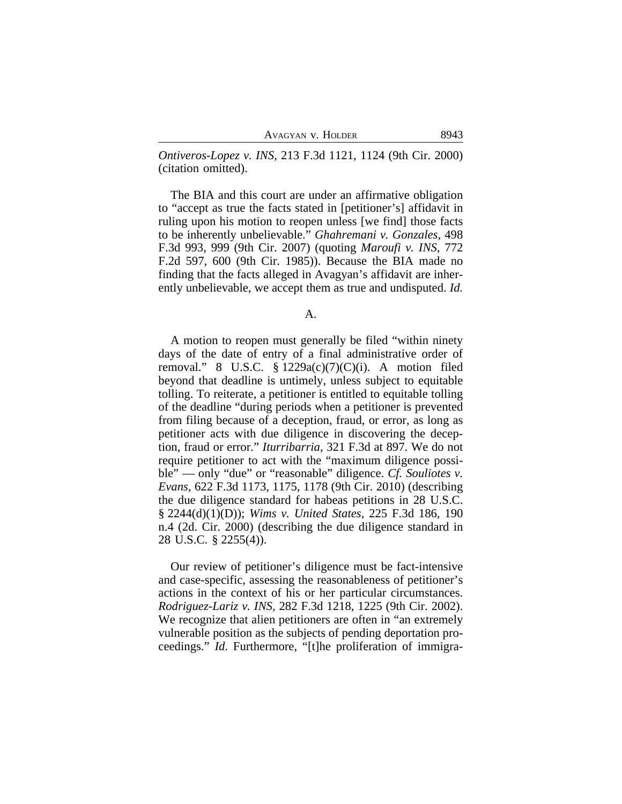*Ontiveros-Lopez v. INS*, 213 F.3d 1121, 1124 (9th Cir. 2000) (citation omitted).

The BIA and this court are under an affirmative obligation to "accept as true the facts stated in [petitioner's] affidavit in ruling upon his motion to reopen unless [we find] those facts to be inherently unbelievable." *Ghahremani v. Gonzales*, 498 F.3d 993, 999 (9th Cir. 2007) (quoting *Maroufi v. INS*, 772 F.2d 597, 600 (9th Cir. 1985)). Because the BIA made no finding that the facts alleged in Avagyan's affidavit are inherently unbelievable, we accept them as true and undisputed. *Id.*

A.

A motion to reopen must generally be filed "within ninety days of the date of entry of a final administrative order of removal." 8 U.S.C.  $\S 1229a(c)(7)(C)(i)$ . A motion filed beyond that deadline is untimely, unless subject to equitable tolling. To reiterate, a petitioner is entitled to equitable tolling of the deadline "during periods when a petitioner is prevented from filing because of a deception, fraud, or error, as long as petitioner acts with due diligence in discovering the deception, fraud or error." *Iturribarria*, 321 F.3d at 897. We do not require petitioner to act with the "maximum diligence possible" — only "due" or "reasonable" diligence. *Cf. Souliotes v. Evans*, 622 F.3d 1173, 1175, 1178 (9th Cir. 2010) (describing the due diligence standard for habeas petitions in 28 U.S.C. § 2244(d)(1)(D)); *Wims v. United States*, 225 F.3d 186, 190 n.4 (2d. Cir. 2000) (describing the due diligence standard in 28 U.S.C. § 2255(4)).

Our review of petitioner's diligence must be fact-intensive and case-specific, assessing the reasonableness of petitioner's actions in the context of his or her particular circumstances. *Rodriguez-Lariz v. INS*, 282 F.3d 1218, 1225 (9th Cir. 2002). We recognize that alien petitioners are often in "an extremely vulnerable position as the subjects of pending deportation proceedings." *Id*. Furthermore, "[t]he proliferation of immigra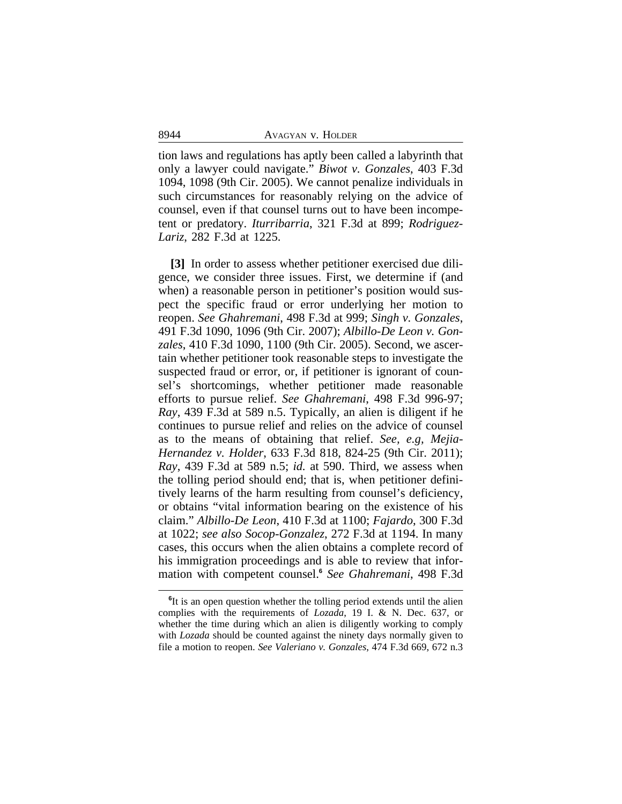tion laws and regulations has aptly been called a labyrinth that only a lawyer could navigate." *Biwot v. Gonzales*, 403 F.3d 1094, 1098 (9th Cir. 2005). We cannot penalize individuals in such circumstances for reasonably relying on the advice of counsel, even if that counsel turns out to have been incompetent or predatory. *Iturribarria*, 321 F.3d at 899; *Rodriguez-Lariz*, 282 F.3d at 1225.

**[3]** In order to assess whether petitioner exercised due diligence, we consider three issues. First, we determine if (and when) a reasonable person in petitioner's position would suspect the specific fraud or error underlying her motion to reopen. *See Ghahremani*, 498 F.3d at 999; *Singh v. Gonzales*, 491 F.3d 1090, 1096 (9th Cir. 2007); *Albillo-De Leon v. Gonzales*, 410 F.3d 1090, 1100 (9th Cir. 2005). Second, we ascertain whether petitioner took reasonable steps to investigate the suspected fraud or error, or, if petitioner is ignorant of counsel's shortcomings, whether petitioner made reasonable efforts to pursue relief. *See Ghahremani*, 498 F.3d 996-97; *Ray*, 439 F.3d at 589 n.5. Typically, an alien is diligent if he continues to pursue relief and relies on the advice of counsel as to the means of obtaining that relief. *See, e.g, Mejia-Hernandez v. Holder*, 633 F.3d 818, 824-25 (9th Cir. 2011); *Ray*, 439 F.3d at 589 n.5; *id.* at 590. Third, we assess when the tolling period should end; that is, when petitioner definitively learns of the harm resulting from counsel's deficiency, or obtains "vital information bearing on the existence of his claim." *Albillo-De Leon*, 410 F.3d at 1100; *Fajardo*, 300 F.3d at 1022; *see also Socop-Gonzalez*, 272 F.3d at 1194. In many cases, this occurs when the alien obtains a complete record of his immigration proceedings and is able to review that information with competent counsel.**<sup>6</sup>** *See Ghahremani*, 498 F.3d

<sup>&</sup>lt;sup>6</sup>It is an open question whether the tolling period extends until the alien complies with the requirements of *Lozada*, 19 I. & N. Dec. 637, or whether the time during which an alien is diligently working to comply with *Lozada* should be counted against the ninety days normally given to file a motion to reopen. *See Valeriano v. Gonzales*, 474 F.3d 669, 672 n.3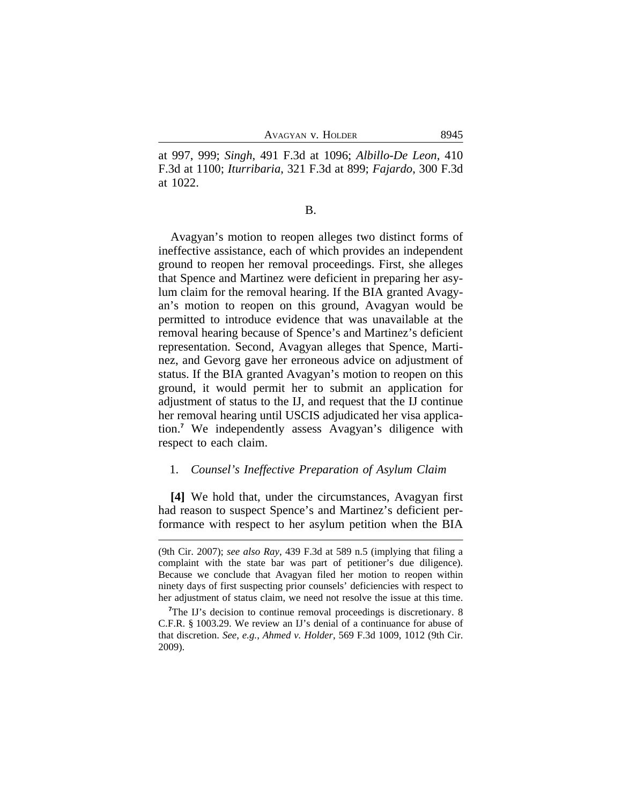at 997, 999; *Singh*, 491 F.3d at 1096; *Albillo-De Leon*, 410 F.3d at 1100; *Iturribaria*, 321 F.3d at 899; *Fajardo*, 300 F.3d at 1022.

B.

Avagyan's motion to reopen alleges two distinct forms of ineffective assistance, each of which provides an independent ground to reopen her removal proceedings. First, she alleges that Spence and Martinez were deficient in preparing her asylum claim for the removal hearing. If the BIA granted Avagyan's motion to reopen on this ground, Avagyan would be permitted to introduce evidence that was unavailable at the removal hearing because of Spence's and Martinez's deficient representation. Second, Avagyan alleges that Spence, Martinez, and Gevorg gave her erroneous advice on adjustment of status. If the BIA granted Avagyan's motion to reopen on this ground, it would permit her to submit an application for adjustment of status to the IJ, and request that the IJ continue her removal hearing until USCIS adjudicated her visa application.**<sup>7</sup>** We independently assess Avagyan's diligence with respect to each claim.

## 1. *Counsel's Ineffective Preparation of Asylum Claim*

**[4]** We hold that, under the circumstances, Avagyan first had reason to suspect Spence's and Martinez's deficient performance with respect to her asylum petition when the BIA

<sup>(9</sup>th Cir. 2007); *see also Ray*, 439 F.3d at 589 n.5 (implying that filing a complaint with the state bar was part of petitioner's due diligence). Because we conclude that Avagyan filed her motion to reopen within ninety days of first suspecting prior counsels' deficiencies with respect to her adjustment of status claim, we need not resolve the issue at this time.

<sup>&</sup>lt;sup>7</sup>The IJ's decision to continue removal proceedings is discretionary. 8 C.F.R. § 1003.29. We review an IJ's denial of a continuance for abuse of that discretion. *See*, *e.g.*, *Ahmed v. Holder*, 569 F.3d 1009, 1012 (9th Cir. 2009).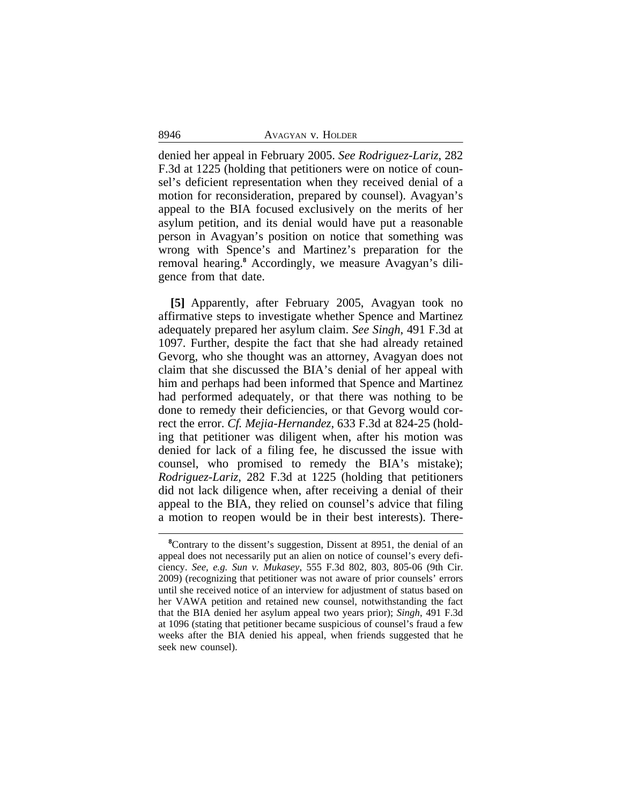denied her appeal in February 2005. *See Rodriguez-Lariz*, 282 F.3d at 1225 (holding that petitioners were on notice of counsel's deficient representation when they received denial of a motion for reconsideration, prepared by counsel). Avagyan's appeal to the BIA focused exclusively on the merits of her asylum petition, and its denial would have put a reasonable person in Avagyan's position on notice that something was wrong with Spence's and Martinez's preparation for the removal hearing.**<sup>8</sup>** Accordingly, we measure Avagyan's diligence from that date.

**[5]** Apparently, after February 2005, Avagyan took no affirmative steps to investigate whether Spence and Martinez adequately prepared her asylum claim. *See Singh*, 491 F.3d at 1097. Further, despite the fact that she had already retained Gevorg, who she thought was an attorney, Avagyan does not claim that she discussed the BIA's denial of her appeal with him and perhaps had been informed that Spence and Martinez had performed adequately, or that there was nothing to be done to remedy their deficiencies, or that Gevorg would correct the error. *Cf. Mejia-Hernandez*, 633 F.3d at 824-25 (holding that petitioner was diligent when, after his motion was denied for lack of a filing fee, he discussed the issue with counsel, who promised to remedy the BIA's mistake); *Rodriguez-Lariz*, 282 F.3d at 1225 (holding that petitioners did not lack diligence when, after receiving a denial of their appeal to the BIA, they relied on counsel's advice that filing a motion to reopen would be in their best interests). There-

<sup>&</sup>lt;sup>8</sup>Contrary to the dissent's suggestion, Dissent at 8951, the denial of an appeal does not necessarily put an alien on notice of counsel's every deficiency. *See, e.g. Sun v. Mukasey*, 555 F.3d 802, 803, 805-06 (9th Cir. 2009) (recognizing that petitioner was not aware of prior counsels' errors until she received notice of an interview for adjustment of status based on her VAWA petition and retained new counsel, notwithstanding the fact that the BIA denied her asylum appeal two years prior); *Singh*, 491 F.3d at 1096 (stating that petitioner became suspicious of counsel's fraud a few weeks after the BIA denied his appeal, when friends suggested that he seek new counsel).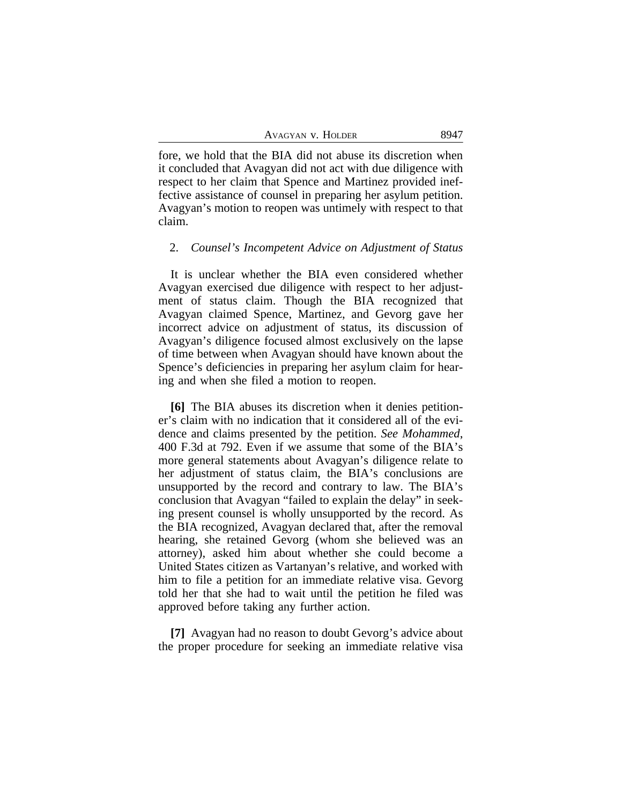| AVAGYAN V. HOLDER | 8947 |
|-------------------|------|
|-------------------|------|

fore, we hold that the BIA did not abuse its discretion when it concluded that Avagyan did not act with due diligence with respect to her claim that Spence and Martinez provided ineffective assistance of counsel in preparing her asylum petition. Avagyan's motion to reopen was untimely with respect to that claim.

### 2. *Counsel's Incompetent Advice on Adjustment of Status*

It is unclear whether the BIA even considered whether Avagyan exercised due diligence with respect to her adjustment of status claim. Though the BIA recognized that Avagyan claimed Spence, Martinez, and Gevorg gave her incorrect advice on adjustment of status, its discussion of Avagyan's diligence focused almost exclusively on the lapse of time between when Avagyan should have known about the Spence's deficiencies in preparing her asylum claim for hearing and when she filed a motion to reopen.

**[6]** The BIA abuses its discretion when it denies petitioner's claim with no indication that it considered all of the evidence and claims presented by the petition. *See Mohammed*, 400 F.3d at 792. Even if we assume that some of the BIA's more general statements about Avagyan's diligence relate to her adjustment of status claim, the BIA's conclusions are unsupported by the record and contrary to law. The BIA's conclusion that Avagyan "failed to explain the delay" in seeking present counsel is wholly unsupported by the record. As the BIA recognized, Avagyan declared that, after the removal hearing, she retained Gevorg (whom she believed was an attorney), asked him about whether she could become a United States citizen as Vartanyan's relative, and worked with him to file a petition for an immediate relative visa. Gevorg told her that she had to wait until the petition he filed was approved before taking any further action.

**[7]** Avagyan had no reason to doubt Gevorg's advice about the proper procedure for seeking an immediate relative visa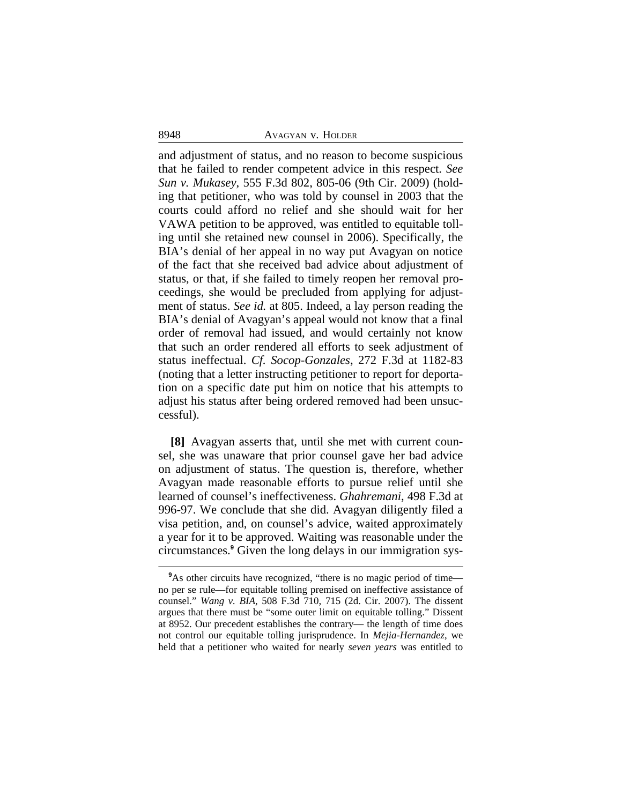and adjustment of status, and no reason to become suspicious that he failed to render competent advice in this respect. *See Sun v. Mukasey*, 555 F.3d 802, 805-06 (9th Cir. 2009) (holding that petitioner, who was told by counsel in 2003 that the courts could afford no relief and she should wait for her VAWA petition to be approved, was entitled to equitable tolling until she retained new counsel in 2006). Specifically, the BIA's denial of her appeal in no way put Avagyan on notice of the fact that she received bad advice about adjustment of status, or that, if she failed to timely reopen her removal proceedings, she would be precluded from applying for adjustment of status. *See id.* at 805. Indeed, a lay person reading the BIA's denial of Avagyan's appeal would not know that a final order of removal had issued, and would certainly not know that such an order rendered all efforts to seek adjustment of status ineffectual. *Cf. Socop-Gonzales*, 272 F.3d at 1182-83 (noting that a letter instructing petitioner to report for deportation on a specific date put him on notice that his attempts to adjust his status after being ordered removed had been unsuccessful).

**[8]** Avagyan asserts that, until she met with current counsel, she was unaware that prior counsel gave her bad advice on adjustment of status. The question is, therefore, whether Avagyan made reasonable efforts to pursue relief until she learned of counsel's ineffectiveness. *Ghahremani*, 498 F.3d at 996-97. We conclude that she did. Avagyan diligently filed a visa petition, and, on counsel's advice, waited approximately a year for it to be approved. Waiting was reasonable under the circumstances.**<sup>9</sup>** Given the long delays in our immigration sys-

<sup>&</sup>lt;sup>9</sup>As other circuits have recognized, "there is no magic period of time no per se rule—for equitable tolling premised on ineffective assistance of counsel." *Wang v. BIA*, 508 F.3d 710, 715 (2d. Cir. 2007). The dissent argues that there must be "some outer limit on equitable tolling." Dissent at 8952. Our precedent establishes the contrary— the length of time does not control our equitable tolling jurisprudence. In *Mejia-Hernandez*, we held that a petitioner who waited for nearly *seven years* was entitled to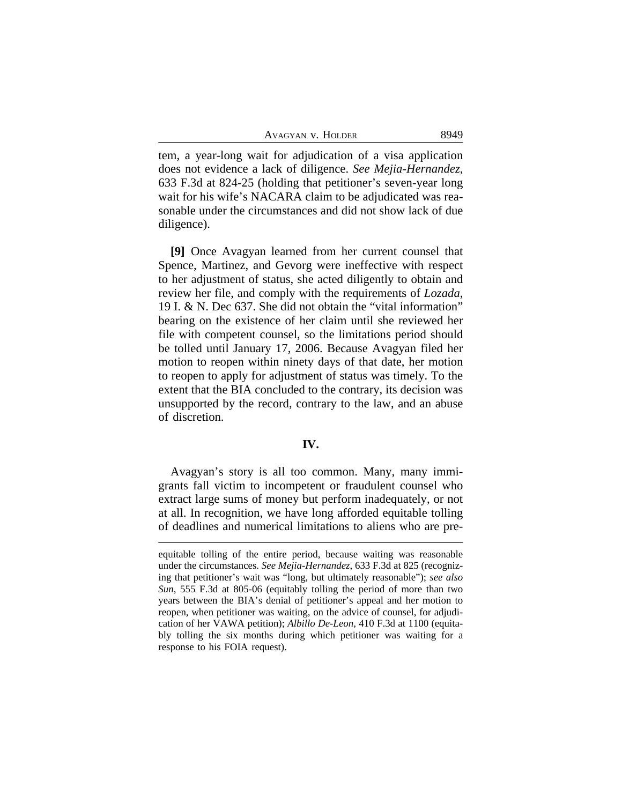tem, a year-long wait for adjudication of a visa application does not evidence a lack of diligence. *See Mejia-Hernandez*, 633 F.3d at 824-25 (holding that petitioner's seven-year long wait for his wife's NACARA claim to be adjudicated was reasonable under the circumstances and did not show lack of due diligence).

**[9]** Once Avagyan learned from her current counsel that Spence, Martinez, and Gevorg were ineffective with respect to her adjustment of status, she acted diligently to obtain and review her file, and comply with the requirements of *Lozada*, 19 I. & N. Dec 637. She did not obtain the "vital information" bearing on the existence of her claim until she reviewed her file with competent counsel, so the limitations period should be tolled until January 17, 2006. Because Avagyan filed her motion to reopen within ninety days of that date, her motion to reopen to apply for adjustment of status was timely. To the extent that the BIA concluded to the contrary, its decision was unsupported by the record, contrary to the law, and an abuse of discretion.

#### **IV.**

Avagyan's story is all too common. Many, many immigrants fall victim to incompetent or fraudulent counsel who extract large sums of money but perform inadequately, or not at all. In recognition, we have long afforded equitable tolling of deadlines and numerical limitations to aliens who are pre-

equitable tolling of the entire period, because waiting was reasonable under the circumstances. *See Mejia-Hernandez*, 633 F.3d at 825 (recognizing that petitioner's wait was "long, but ultimately reasonable"); *see also Sun*, 555 F.3d at 805-06 (equitably tolling the period of more than two years between the BIA's denial of petitioner's appeal and her motion to reopen, when petitioner was waiting, on the advice of counsel, for adjudication of her VAWA petition); *Albillo De-Leon*, 410 F.3d at 1100 (equitably tolling the six months during which petitioner was waiting for a response to his FOIA request).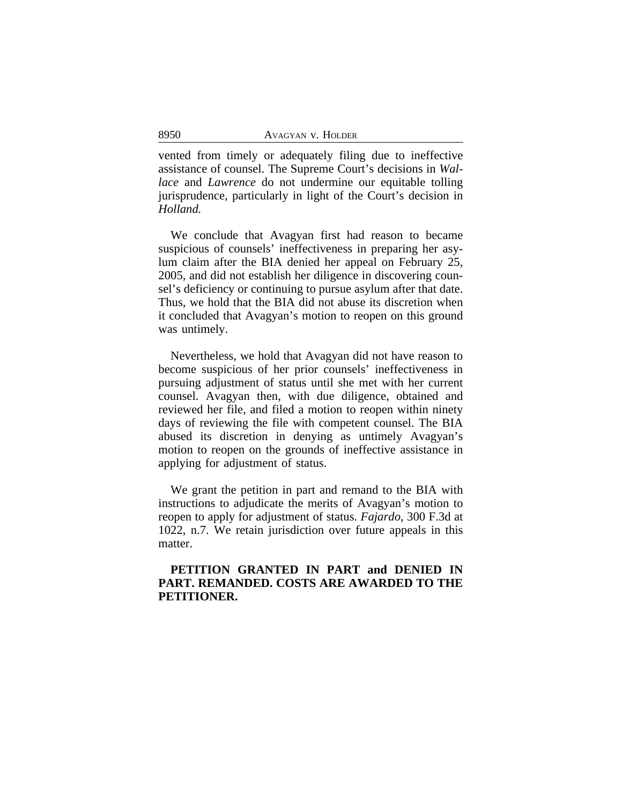vented from timely or adequately filing due to ineffective assistance of counsel. The Supreme Court's decisions in *Wallace* and *Lawrence* do not undermine our equitable tolling jurisprudence, particularly in light of the Court's decision in *Holland.*

We conclude that Avagyan first had reason to became suspicious of counsels' ineffectiveness in preparing her asylum claim after the BIA denied her appeal on February 25, 2005, and did not establish her diligence in discovering counsel's deficiency or continuing to pursue asylum after that date. Thus, we hold that the BIA did not abuse its discretion when it concluded that Avagyan's motion to reopen on this ground was untimely.

Nevertheless, we hold that Avagyan did not have reason to become suspicious of her prior counsels' ineffectiveness in pursuing adjustment of status until she met with her current counsel. Avagyan then, with due diligence, obtained and reviewed her file, and filed a motion to reopen within ninety days of reviewing the file with competent counsel. The BIA abused its discretion in denying as untimely Avagyan's motion to reopen on the grounds of ineffective assistance in applying for adjustment of status.

We grant the petition in part and remand to the BIA with instructions to adjudicate the merits of Avagyan's motion to reopen to apply for adjustment of status. *Fajardo*, 300 F.3d at 1022, n.7. We retain jurisdiction over future appeals in this matter.

## **PETITION GRANTED IN PART and DENIED IN PART. REMANDED. COSTS ARE AWARDED TO THE PETITIONER.**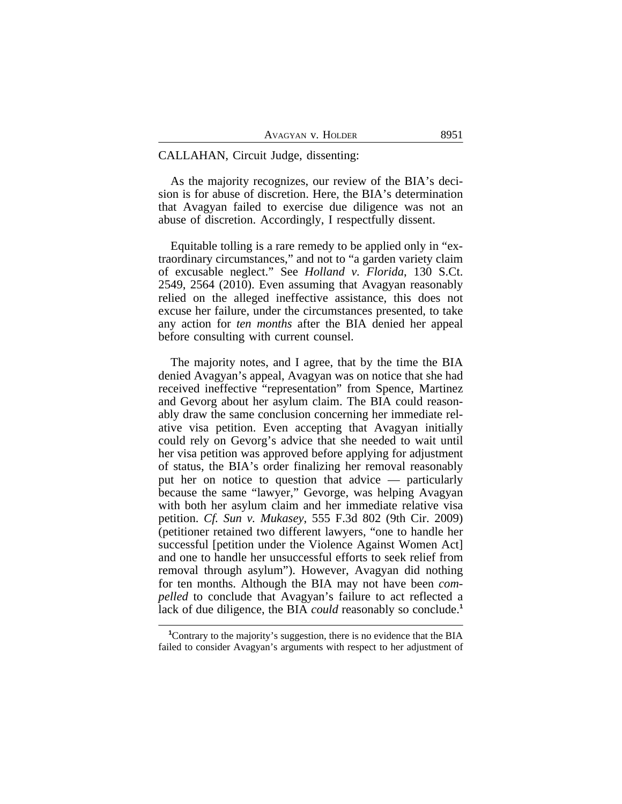### CALLAHAN, Circuit Judge, dissenting:

As the majority recognizes, our review of the BIA's decision is for abuse of discretion. Here, the BIA's determination that Avagyan failed to exercise due diligence was not an abuse of discretion. Accordingly, I respectfully dissent.

Equitable tolling is a rare remedy to be applied only in "extraordinary circumstances," and not to "a garden variety claim of excusable neglect." See *Holland v. Florida*, 130 S.Ct. 2549, 2564 (2010). Even assuming that Avagyan reasonably relied on the alleged ineffective assistance, this does not excuse her failure, under the circumstances presented, to take any action for *ten months* after the BIA denied her appeal before consulting with current counsel.

The majority notes, and I agree, that by the time the BIA denied Avagyan's appeal, Avagyan was on notice that she had received ineffective "representation" from Spence, Martinez and Gevorg about her asylum claim. The BIA could reasonably draw the same conclusion concerning her immediate relative visa petition. Even accepting that Avagyan initially could rely on Gevorg's advice that she needed to wait until her visa petition was approved before applying for adjustment of status, the BIA's order finalizing her removal reasonably put her on notice to question that advice — particularly because the same "lawyer," Gevorge, was helping Avagyan with both her asylum claim and her immediate relative visa petition. *Cf. Sun v. Mukasey*, 555 F.3d 802 (9th Cir. 2009) (petitioner retained two different lawyers, "one to handle her successful [petition under the Violence Against Women Act] and one to handle her unsuccessful efforts to seek relief from removal through asylum"). However, Avagyan did nothing for ten months. Although the BIA may not have been *compelled* to conclude that Avagyan's failure to act reflected a lack of due diligence, the BIA *could* reasonably so conclude.<sup>1</sup>

<sup>&</sup>lt;sup>1</sup>Contrary to the majority's suggestion, there is no evidence that the BIA failed to consider Avagyan's arguments with respect to her adjustment of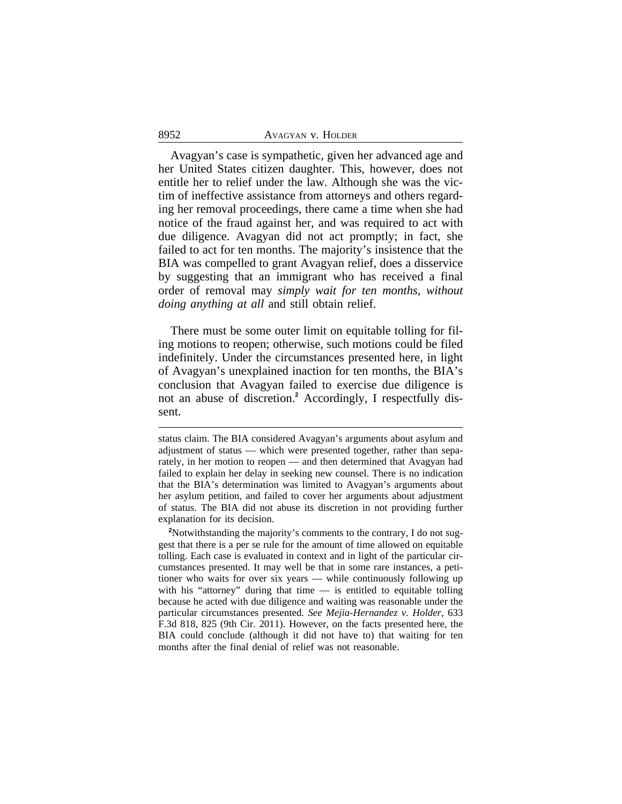Avagyan's case is sympathetic, given her advanced age and her United States citizen daughter. This, however, does not entitle her to relief under the law. Although she was the victim of ineffective assistance from attorneys and others regarding her removal proceedings, there came a time when she had notice of the fraud against her, and was required to act with due diligence. Avagyan did not act promptly; in fact, she failed to act for ten months. The majority's insistence that the BIA was compelled to grant Avagyan relief, does a disservice by suggesting that an immigrant who has received a final order of removal may *simply wait for ten months, without doing anything at all* and still obtain relief.

There must be some outer limit on equitable tolling for filing motions to reopen; otherwise, such motions could be filed indefinitely. Under the circumstances presented here, in light of Avagyan's unexplained inaction for ten months, the BIA's conclusion that Avagyan failed to exercise due diligence is not an abuse of discretion.**<sup>2</sup>** Accordingly, I respectfully dissent.

<sup>2</sup>Notwithstanding the majority's comments to the contrary, I do not suggest that there is a per se rule for the amount of time allowed on equitable tolling. Each case is evaluated in context and in light of the particular circumstances presented. It may well be that in some rare instances, a petitioner who waits for over six years — while continuously following up with his "attorney" during that time  $-$  is entitled to equitable tolling because he acted with due diligence and waiting was reasonable under the particular circumstances presented. *See Mejia-Hernandez v. Holder*, 633 F.3d 818, 825 (9th Cir. 2011). However, on the facts presented here, the BIA could conclude (although it did not have to) that waiting for ten months after the final denial of relief was not reasonable.

status claim. The BIA considered Avagyan's arguments about asylum and adjustment of status — which were presented together, rather than separately, in her motion to reopen — and then determined that Avagyan had failed to explain her delay in seeking new counsel. There is no indication that the BIA's determination was limited to Avagyan's arguments about her asylum petition, and failed to cover her arguments about adjustment of status. The BIA did not abuse its discretion in not providing further explanation for its decision.